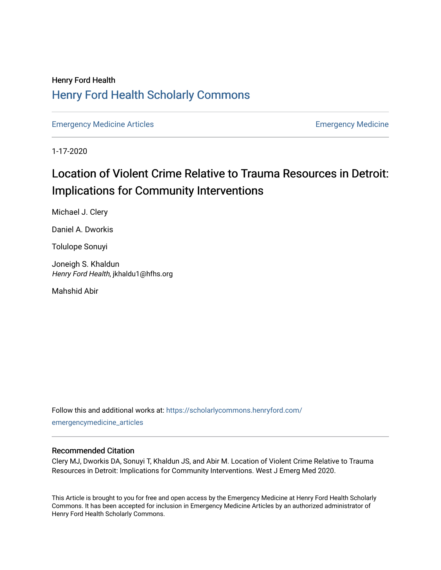### Henry Ford Health [Henry Ford Health Scholarly Commons](https://scholarlycommons.henryford.com/)

[Emergency Medicine Articles](https://scholarlycommons.henryford.com/emergencymedicine_articles) [Emergency Medicine](https://scholarlycommons.henryford.com/emergencymedicine) 

1-17-2020

## Location of Violent Crime Relative to Trauma Resources in Detroit: Implications for Community Interventions

Michael J. Clery

Daniel A. Dworkis

Tolulope Sonuyi

Joneigh S. Khaldun Henry Ford Health, jkhaldu1@hfhs.org

Mahshid Abir

Follow this and additional works at: [https://scholarlycommons.henryford.com/](https://scholarlycommons.henryford.com/emergencymedicine_articles?utm_source=scholarlycommons.henryford.com%2Femergencymedicine_articles%2F184&utm_medium=PDF&utm_campaign=PDFCoverPages) [emergencymedicine\\_articles](https://scholarlycommons.henryford.com/emergencymedicine_articles?utm_source=scholarlycommons.henryford.com%2Femergencymedicine_articles%2F184&utm_medium=PDF&utm_campaign=PDFCoverPages) 

#### Recommended Citation

Clery MJ, Dworkis DA, Sonuyi T, Khaldun JS, and Abir M. Location of Violent Crime Relative to Trauma Resources in Detroit: Implications for Community Interventions. West J Emerg Med 2020.

This Article is brought to you for free and open access by the Emergency Medicine at Henry Ford Health Scholarly Commons. It has been accepted for inclusion in Emergency Medicine Articles by an authorized administrator of Henry Ford Health Scholarly Commons.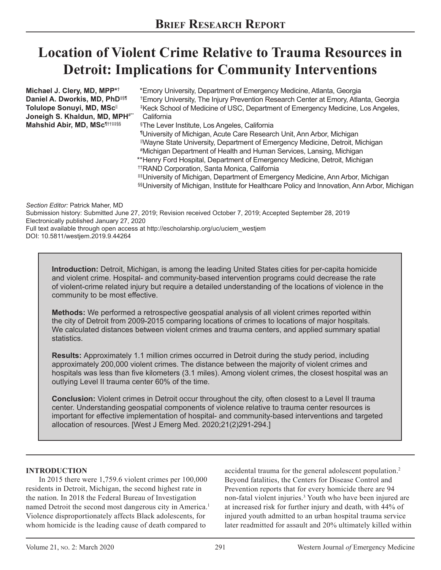# **Location of Violent Crime Relative to Trauma Resources in Detroit: Implications for Community Interventions**

**Michael J. Clery, MD, MPP\***† **Daniel A. Dworkis, MD, PhD**<sup>द</sup> **Tolulope Sonuyi, MD, MSc**|| Joneigh S. Khaldun, MD, MPH<sup>#\*\*</sup> **Mahshid Abir, MD, MSc**¶††‡‡§§ Emory University, Department of Emergency Medicine, Atlanta, Georgia \* Emory University, The Injury Prevention Research Center at Emory, Atlanta, Georgia † Keck School of Medicine of USC, Department of Emergency Medicine, Los Angeles, ‡ **California** The Lever Institute, Los Angeles, California § University of Michigan, Acute Care Research Unit, Ann Arbor, Michigan ¶ Wayne State University, Department of Emergency Medicine, Detroit, Michigan || Michigan Department of Health and Human Services, Lansing, Michigan # \*\*Henry Ford Hospital, Department of Emergency Medicine, Detroit, Michigan RAND Corporation, Santa Monica, California †† University of Michigan, Department of Emergency Medicine, Ann Arbor, Michigan ‡‡ University of Michigan, Institute for Healthcare Policy and Innovation, Ann Arbor, Michigan §§

*Section Editor:* Patrick Maher, MD Submission history: Submitted June 27, 2019; Revision received October 7, 2019; Accepted September 28, 2019 Electronically published January 27, 2020 Full text available through open access at http://escholarship.org/uc/uciem\_westjem

DOI: 10.5811/westjem.2019.9.44264

**Introduction:** Detroit, Michigan, is among the leading United States cities for per-capita homicide and violent crime. Hospital- and community-based intervention programs could decrease the rate of violent-crime related injury but require a detailed understanding of the locations of violence in the community to be most effective.

**Methods:** We performed a retrospective geospatial analysis of all violent crimes reported within the city of Detroit from 2009-2015 comparing locations of crimes to locations of major hospitals. We calculated distances between violent crimes and trauma centers, and applied summary spatial statistics.

**Results:** Approximately 1.1 million crimes occurred in Detroit during the study period, including approximately 200,000 violent crimes. The distance between the majority of violent crimes and hospitals was less than five kilometers (3.1 miles). Among violent crimes, the closest hospital was an outlying Level II trauma center 60% of the time.

**Conclusion:** Violent crimes in Detroit occur throughout the city, often closest to a Level II trauma center. Understanding geospatial components of violence relative to trauma center resources is important for effective implementation of hospital- and community-based interventions and targeted allocation of resources. [West J Emerg Med. 2020;21(2)291-294.]

#### **INTRODUCTION**

In 2015 there were 1,759.6 violent crimes per 100,000 residents in Detroit, Michigan, the second highest rate in the nation. In 2018 the Federal Bureau of Investigation named Detroit the second most dangerous city in America.<sup>1</sup> Violence disproportionately affects Black adolescents, for whom homicide is the leading cause of death compared to

accidental trauma for the general adolescent population.<sup>2</sup> Beyond fatalities, the Centers for Disease Control and Prevention reports that for every homicide there are 94 non-fatal violent injuries.<sup>3</sup> Youth who have been injured are at increased risk for further injury and death, with 44% of injured youth admitted to an urban hospital trauma service later readmitted for assault and 20% ultimately killed within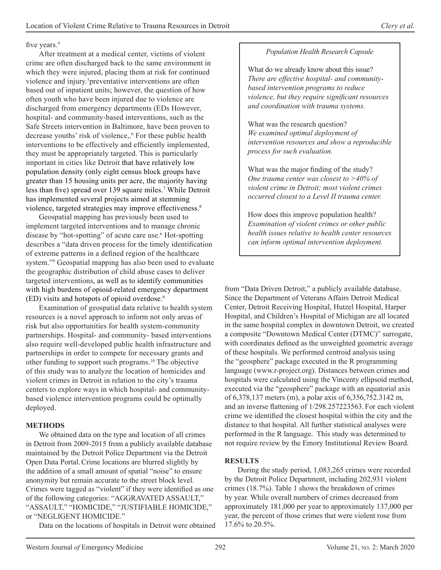#### five years.<sup>4</sup>

After treatment at a medical center, victims of violent crime are often discharged back to the same environment in which they were injured, placing them at risk for continued violence and injury.<sup>5</sup> preventative interventions are often based out of inpatient units; however, the question of how often youth who have been injured due to violence are discharged from emergency departments (EDs However, hospital- and community-based interventions, such as the Safe Streets intervention in Baltimore, have been proven to decrease youths' risk of violence,.6 For these public health interventions to be effectively and efficiently implemented, they must be appropriately targeted. This is particularly important in cities like Detroit that have relatively low population density (only eight census block groups have greater than 15 housing units per acre, the majority having less than five) spread over 139 square miles.<sup>7</sup> While Detroit has implemented several projects aimed at stemming violence, targeted strategies may improve effectiveness.<sup>8</sup>

Geospatial mapping has previously been used to implement targeted interventions and to manage chronic disease by "hot-spotting" of acute care use.<sup>6</sup> Hot-spotting describes a "data driven process for the timely identification of extreme patterns in a defined region of the healthcare system."<sup>9</sup> Geospatial mapping has also been used to evaluate the geographic distribution of child abuse cases to deliver targeted interventions, as well as to identify communities with high burdens of opioid-related emergency department (ED) visits and hotspots of opioid overdose.<sup>9</sup>

Examination of geospatial data relative to health system resources is a novel approach to inform not only areas of risk but also opportunities for health system-community partnerships. Hospital- and community- based interventions also require well-developed public health infrastructure and partnerships in order to compete for necessary grants and other funding to support such programs.10 The objective of this study was to analyze the location of homicides and violent crimes in Detroit in relation to the city's trauma centers to explore ways in which hospital- and communitybased violence intervention programs could be optimally deployed.

#### **METHODS**

We obtained data on the type and location of all crimes in Detroit from 2009-2015 from a publicly available database maintained by the Detroit Police Department via the Detroit Open Data Portal.Crime locations are blurred slightly by the addition of a small amount of spatial "noise" to ensure anonymity but remain accurate to the street block level. Crimes were tagged as "violent" if they were identified as one of the following categories: "AGGRAVATED ASSAULT," "ASSAULT," "HOMICIDE," "JUSTIFIABLE HOMICIDE," or "NEGLIGENT HOMICIDE."

Data on the locations of hospitals in Detroit were obtained

#### *Population Health Research Capsule*

What do we already know about this issue? *There are effective hospital- and communitybased intervention programs to reduce violence, but they require significant resources and coordination with trauma systems.*

What was the research question? *We examined optimal deployment of intervention resources and show a reproducible process for such evaluation.*

What was the major finding of the study? *One trauma center was closest to >40% of violent crime in Detroit; most violent crimes occurred closest to a Level II trauma center.*

How does this improve population health? *Examination of violent crimes or other public health issues relative to health center resources can inform optimal intervention deployment.*

from "Data Driven Detroit," a publicly available database. Since the Department of Veterans Affairs Detroit Medical Center, Detroit Receiving Hospital, Hutzel Hospital, Harper Hospital, and Children's Hospital of Michigan are all located in the same hospital complex in downtown Detroit, we created a composite "Downtown Medical Center (DTMC)" surrogate, with coordinates defined as the unweighted geometric average of these hospitals. We performed centroid analysis using the "geosphere" package executed in the R programming language (www.r-project.org). Distances between crimes and hospitals were calculated using the Vincenty ellipsoid method, executed via the "geosphere" package with an equatorial axis of 6,378,137 meters (m), a polar axis of 6,356,752.3142 m, and an inverse flattening of 1/298.257223563. For each violent crime we identified the closest hospital within the city and the distance to that hospital. All further statistical analyses were performed in the R language. This study was determined to not require review by the Emory Institutional Review Board.

#### **RESULTS**

During the study period, 1,083,265 crimes were recorded by the Detroit Police Department, including 202,931 violent crimes (18.7%). Table 1 shows the breakdown of crimes by year. While overall numbers of crimes decreased from approximately 181,000 per year to approximately 137,000 per year, the percent of those crimes that were violent rose from 17.6% to 20.5%.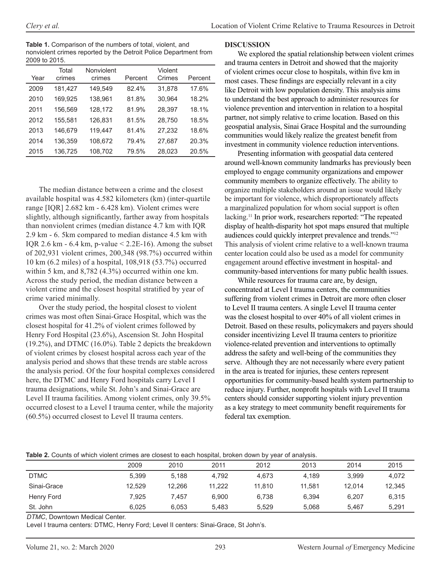**Table 1.** Comparison of the numbers of total, violent, and nonviolent crimes reported by the Detroit Police Department from 2009 to 2015.

| Year | Total<br>crimes | Nonviolent<br>crimes | Percent | Violent<br>Crimes | Percent |
|------|-----------------|----------------------|---------|-------------------|---------|
| 2009 | 181,427         | 149.549              | 82.4%   | 31,878            | 17.6%   |
| 2010 | 169,925         | 138,961              | 81.8%   | 30,964            | 18.2%   |
| 2011 | 156,569         | 128,172              | 81.9%   | 28,397            | 18.1%   |
| 2012 | 155.581         | 126.831              | 81.5%   | 28.750            | 18.5%   |
| 2013 | 146.679         | 119.447              | 81.4%   | 27.232            | 18.6%   |
| 2014 | 136,359         | 108,672              | 79.4%   | 27,687            | 20.3%   |
| 2015 | 136,725         | 108,702              | 79.5%   | 28,023            | 20.5%   |

The median distance between a crime and the closest available hospital was 4.582 kilometers (km) (inter-quartile range [IQR] 2.682 km - 6.428 km). Violent crimes were slightly, although significantly, farther away from hospitals than nonviolent crimes (median distance 4.7 km with IQR 2.9 km - 6. 5km compared to median distance 4.5 km with IQR 2.6 km -  $6.4$  km, p-value  $\leq$  2.2E-16). Among the subset of 202,931 violent crimes, 200,348 (98.7%) occurred within 10 km (6.2 miles) of a hospital, 108,918 (53.7%) occurred within 5 km, and 8,782 (4.3%) occurred within one km. Across the study period, the median distance between a violent crime and the closest hospital stratified by year of crime varied minimally.

Over the study period, the hospital closest to violent crimes was most often Sinai-Grace Hospital, which was the closest hospital for 41.2% of violent crimes followed by Henry Ford Hospital (23.6%), Ascension St. John Hospital (19.2%), and DTMC (16.0%). Table 2 depicts the breakdown of violent crimes by closest hospital across each year of the analysis period and shows that these trends are stable across the analysis period. Of the four hospital complexes considered here, the DTMC and Henry Ford hospitals carry Level I trauma designations, while St. John's and Sinai-Grace are Level II trauma facilities. Among violent crimes, only 39.5% occurred closest to a Level I trauma center, while the majority (60.5%) occurred closest to Level II trauma centers.

#### **DISCUSSION**

We explored the spatial relationship between violent crimes and trauma centers in Detroit and showed that the majority of violent crimes occur close to hospitals, within five km in most cases. These findings are especially relevant in a city like Detroit with low population density. This analysis aims to understand the best approach to administer resources for violence prevention and intervention in relation to a hospital partner, not simply relative to crime location. Based on this geospatial analysis, Sinai Grace Hospital and the surrounding communities would likely realize the greatest benefit from investment in community violence reduction interventions.

Presenting information with geospatial data centered around well-known community landmarks has previously been employed to engage community organizations and empower community members to organize effectively. The ability to organize multiple stakeholders around an issue would likely be important for violence, which disproportionately affects a marginalized population for whom social support is often lacking.11 In prior work, researchers reported: "The repeated display of health-disparity hot spot maps ensured that multiple audiences could quickly interpret prevalence and trends."12 This analysis of violent crime relative to a well-known trauma center location could also be used as a model for community engagement around effective investment in hospital- and community-based interventions for many public health issues.

While resources for trauma care are, by design, concentrated at Level I trauma centers, the communities suffering from violent crimes in Detroit are more often closer to Level II trauma centers. A single Level II trauma center was the closest hospital to over 40% of all violent crimes in Detroit. Based on these results, policymakers and payers should consider incentivizing Level II trauma centers to prioritize violence-related prevention and interventions to optimally address the safety and well-being of the communities they serve. Although they are not necessarily where every patient in the area is treated for injuries, these centers represent opportunities for community-based health system partnership to reduce injury. Further, nonprofit hospitals with Level II trauma centers should consider supporting violent injury prevention as a key strategy to meet community benefit requirements for federal tax exemption.

#### **Table 2.** Counts of which violent crimes are closest to each hospital, broken down by year of analysis.

|             | 2009   | 2010   | 2011   | 2012   | 2013   | 2014   | 2015   |
|-------------|--------|--------|--------|--------|--------|--------|--------|
| <b>DTMC</b> | 5.399  | 5.188  | 4,792  | 4.673  | 4.189  | 3.999  | 4,072  |
| Sinai-Grace | 12.529 | 12.266 | 11,222 | 11.810 | 11.581 | 12.014 | 12,345 |
| Henry Ford  | 7.925  | 7.457  | 6.900  | 6.738  | 6,394  | 6.207  | 6,315  |
| St. John    | 6.025  | 6.053  | 5.483  | 5,529  | 5,068  | 5.467  | 5,291  |

*DTMC*, Downtown Medical Center.

Level I trauma centers: DTMC, Henry Ford; Level II centers: Sinai-Grace, St John's.